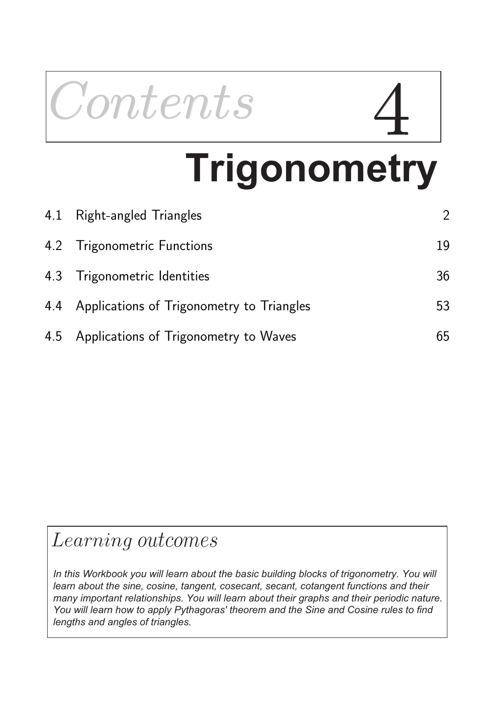# Contents

## **Trigonometry**

| 4.1 Right-angled Triangles                    | $\overline{2}$ |
|-----------------------------------------------|----------------|
| 4.2 Trigonometric Functions                   | 19             |
| 4.3 Trigonometric Identities                  | 36             |
| 4.4 Applications of Trigonometry to Triangles | 53             |
| 4.5 Applications of Trigonometry to Waves     | 65             |

## Learning outcomes

In this Workbook you will learn about the basic building blocks of trigonometry. You will *learn about the sine, cosine, tangent, cosecant, secant, cotangent functions and their many important relationships. You will learn about their graphs and their periodic nature. You will learn how to apply Pythagoras' theorem and the Sine and Cosine rules to find lengths and angles of triangles.*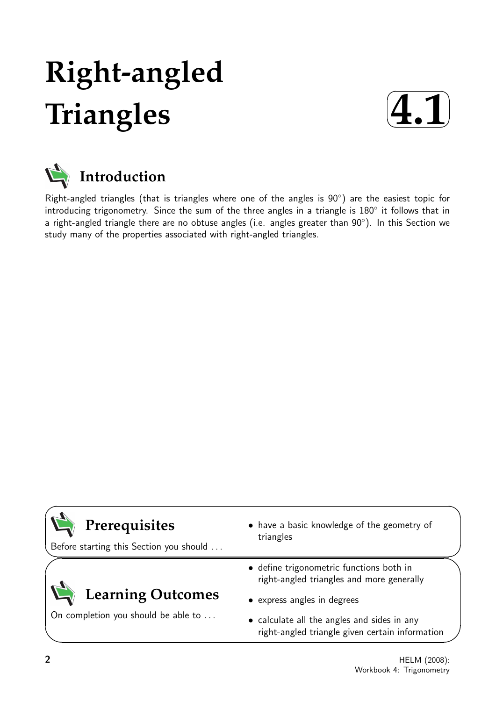## **Right-angled Triangles**





Right-angled triangles (that is triangles where one of the angles is 90°) are the easiest topic for introducing trigonometry. Since the sum of the three angles in a triangle is 180◦ it follows that in a right-angled triangle there are no obtuse angles (i.e. angles greater than  $90^{\circ}$ ). In this Section we study many of the properties associated with right-angled triangles.

| Prerequisites<br>Before starting this Section you should | • have a basic knowledge of the geometry of<br>triangles                                       |
|----------------------------------------------------------|------------------------------------------------------------------------------------------------|
|                                                          | • define trigonometric functions both in<br>right-angled triangles and more generally          |
| <b>Learning Outcomes</b>                                 | • express angles in degrees                                                                    |
| On completion you should be able to                      | • calculate all the angles and sides in any<br>right-angled triangle given certain information |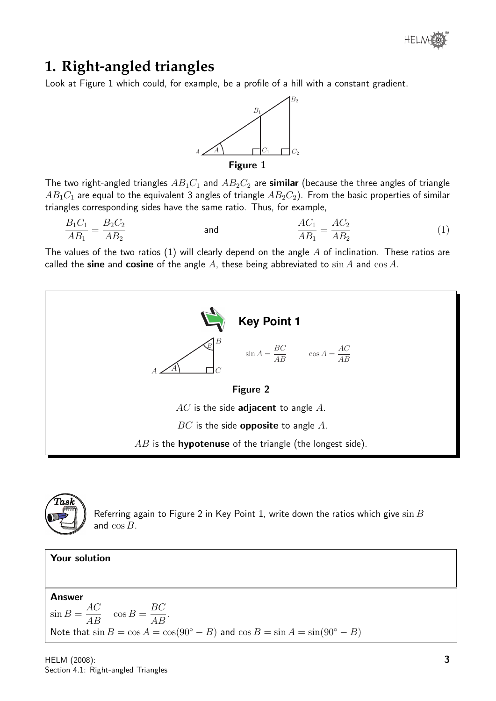### **1. Right-angled triangles**

Look at Figure 1 which could, for example, be a profile of a hill with a constant gradient.



The two right-angled triangles  $AB_1C_1$  and  $AB_2C_2$  are similar (because the three angles of triangle  $AB_1C_1$  are equal to the equivalent 3 angles of triangle  $AB_2C_2$ ). From the basic properties of similar triangles corresponding sides have the same ratio. Thus, for example,

$$
\frac{B_1 C_1}{AB_1} = \frac{B_2 C_2}{AB_2}
$$
 and 
$$
\frac{AC_1}{AB_1} = \frac{AC_2}{AB_2}
$$
 (1)

The values of the two ratios (1) will clearly depend on the angle  $A$  of inclination. These ratios are called the sine and cosine of the angle A, these being abbreviated to  $\sin A$  and  $\cos A$ .





Referring again to Figure 2 in Key Point 1, write down the ratios which give  $\sin B$ and cos B.

Your solution Answer  $\sin B =$ AC  $\frac{A}{AB}$  cos B = BC  $\frac{BC}{AB}$ . Note that  $\sin B = \cos A = \cos(90^{\circ} - B)$  and  $\cos B = \sin A = \sin(90^{\circ} - B)$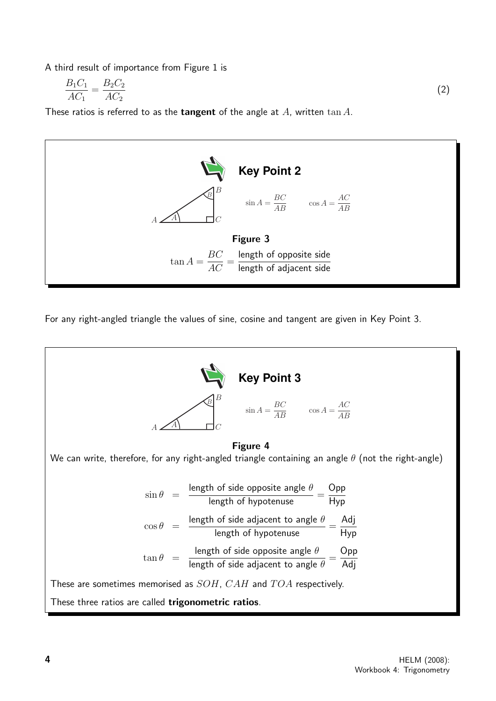A third result of importance from Figure 1 is

$$
\frac{B_1 C_1}{A C_1} = \frac{B_2 C_2}{A C_2} \tag{2}
$$

These ratios is referred to as the **tangent** of the angle at A, written  $\tan A$ .



For any right-angled triangle the values of sine, cosine and tangent are given in Key Point 3.

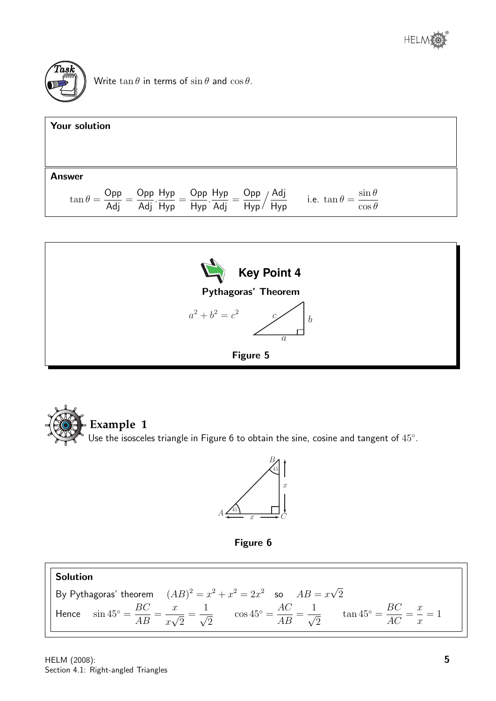



Write  $\tan \theta$  in terms of  $\sin \theta$  and  $\cos \theta$ .





**Example 1** Use the isosceles triangle in Figure 6 to obtain the sine, cosine and tangent of  $45^{\circ}$ .





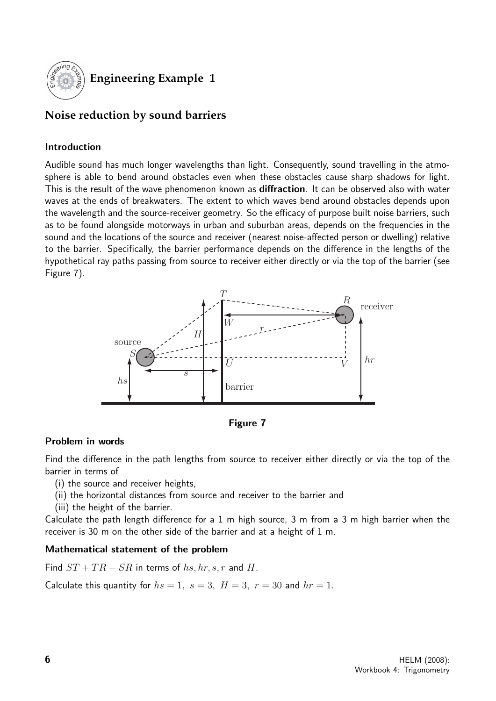

#### **Engineering Example 1**

#### **Noise reduction by sound barriers**

#### Introduction

Audible sound has much longer wavelengths than light. Consequently, sound travelling in the atmosphere is able to bend around obstacles even when these obstacles cause sharp shadows for light. This is the result of the wave phenomenon known as **diffraction**. It can be observed also with water waves at the ends of breakwaters. The extent to which waves bend around obstacles depends upon the wavelength and the source-receiver geometry. So the efficacy of purpose built noise barriers, such as to be found alongside motorways in urban and suburban areas, depends on the frequencies in the sound and the locations of the source and receiver (nearest noise-affected person or dwelling) relative to the barrier. Specifically, the barrier performance depends on the difference in the lengths of the hypothetical ray paths passing from source to receiver either directly or via the top of the barrier (see Figure 7).



Figure 7

#### Problem in words

Find the difference in the path lengths from source to receiver either directly or via the top of the barrier in terms of

- (i) the source and receiver heights,
- (ii) the horizontal distances from source and receiver to the barrier and
- (iii) the height of the barrier.

Calculate the path length difference for a 1 m high source, 3 m from a 3 m high barrier when the receiver is 30 m on the other side of the barrier and at a height of 1 m.

#### Mathematical statement of the problem

Find  $ST + TR - SR$  in terms of hs, hr, s, r and H.

Calculate this quantity for  $hs = 1$ ,  $s = 3$ ,  $H = 3$ ,  $r = 30$  and  $hr = 1$ .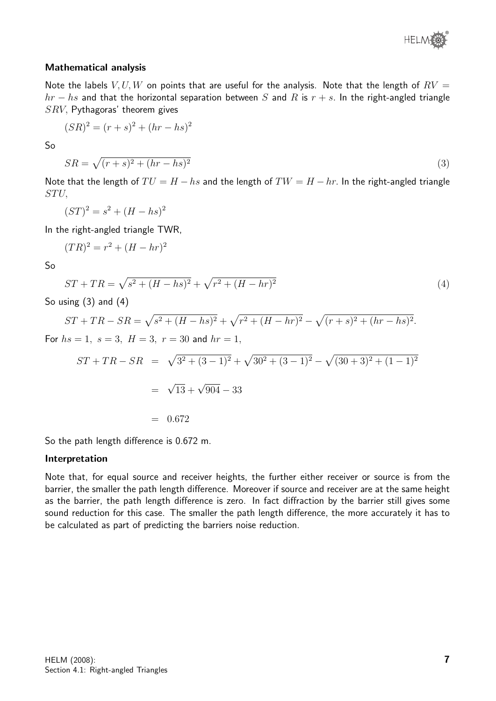

#### Mathematical analysis

Note the labels  $V, U, W$  on points that are useful for the analysis. Note that the length of  $RV =$  $hr - hs$  and that the horizontal separation between S and R is  $r + s$ . In the right-angled triangle  $SRV$ , Pythagoras' theorem gives

$$
(SR)^2 = (r+s)^2 + (hr - hs)^2
$$

So

$$
SR = \sqrt{(r+s)^2 + (hr - hs)^2} \tag{3}
$$

Note that the length of  $TU = H - hs$  and the length of  $TW = H - hr$ . In the right-angled triangle STU,

$$
(ST)^2 = s^2 + (H - hs)^2
$$

In the right-angled triangle TWR,

$$
(TR)^2 = r^2 + (H - hr)^2
$$

So

$$
ST + TR = \sqrt{s^2 + (H - hs)^2} + \sqrt{r^2 + (H - hr)^2}
$$
\n(4)

So using  $(3)$  and  $(4)$ 

$$
ST + TR - SR = \sqrt{s^2 + (H - hs)^2} + \sqrt{r^2 + (H - hr)^2} - \sqrt{(r + s)^2 + (hr - hs)^2}.
$$
  
For  $hs = 1$ ,  $s = 3$ ,  $H = 3$ ,  $r = 30$  and  $hr = 1$ ,

$$
ST + TR - SR = \sqrt{3^2 + (3-1)^2} + \sqrt{30^2 + (3-1)^2} - \sqrt{(30+3)^2 + (1-1)^2}
$$
  
=  $\sqrt{13} + \sqrt{904} - 33$   
= 0.672

So the path length difference is 0.672 m.

#### Interpretation

Note that, for equal source and receiver heights, the further either receiver or source is from the barrier, the smaller the path length difference. Moreover if source and receiver are at the same height as the barrier, the path length difference is zero. In fact diffraction by the barrier still gives some sound reduction for this case. The smaller the path length difference, the more accurately it has to be calculated as part of predicting the barriers noise reduction.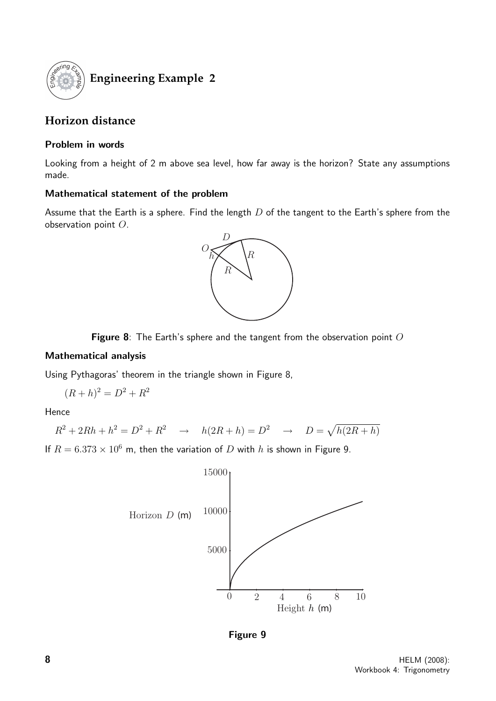

### **Engineering Example 2**

#### **Horizon distance**

#### Problem in words

Looking from a height of 2 m above sea level, how far away is the horizon? State any assumptions made.

#### Mathematical statement of the problem

Assume that the Earth is a sphere. Find the length  $D$  of the tangent to the Earth's sphere from the observation point O.



Figure 8: The Earth's sphere and the tangent from the observation point  $O$ 

#### Mathematical analysis

Using Pythagoras' theorem in the triangle shown in Figure 8,

$$
(R+h)^2 = D^2 + R^2
$$

Hence

$$
R^2 + 2Rh + h^2 = D^2 + R^2 \rightarrow h(2R + h) = D^2 \rightarrow D = \sqrt{h(2R + h)}
$$
  
If  $R = 6.373 \times 10^6$  m, then the variation of *D* with *h* is shown in Figure 9.



Figure 9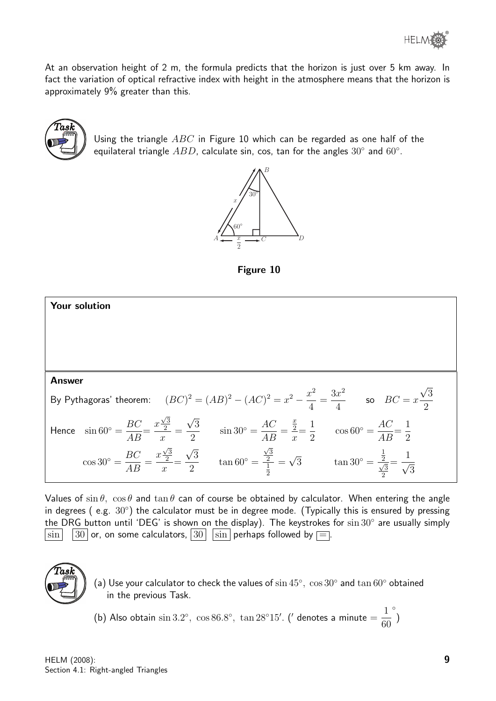At an observation height of 2 m, the formula predicts that the horizon is just over 5 km away. In fact the variation of optical refractive index with height in the atmosphere means that the horizon is approximately 9% greater than this.



Using the triangle  $ABC$  in Figure 10 which can be regarded as one half of the equilateral triangle  $ABD$ , calculate sin, cos, tan for the angles  $30^{\circ}$  and  $60^{\circ}$ .



Figure 10



Values of  $\sin \theta$ ,  $\cos \theta$  and  $\tan \theta$  can of course be obtained by calculator. When entering the angle in degrees (e.g.  $30^{\circ}$ ) the calculator must be in degree mode. (Typically this is ensured by pressing the DRG button until 'DEG' is shown on the display). The keystrokes for  $\sin 30^{\circ}$  are usually simply  $|\sin|\;\;|30|$  or, on some calculators,  $|30|\;\,|\sin|\,$  perhaps followed by  $\equiv$  .



(a) Use your calculator to check the values of  $\sin 45^\circ$ ,  $\cos 30^\circ$  and  $\tan 60^\circ$  obtained in the previous Task.

(b) Also obtain  $\sin 3.2^\circ$ ,  $\cos 86.8^\circ$ ,  $\tan 28^\circ 15'$ . ( $\prime$  denotes a minute  $=\frac{1}{c_0^2}$ 60 ◦ )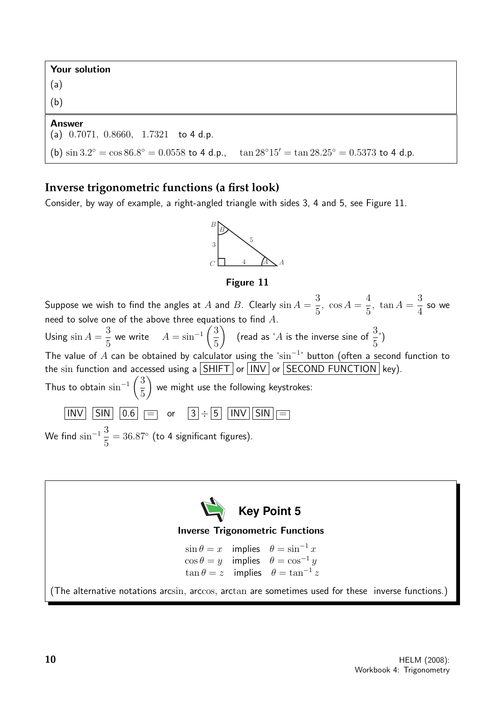Your solution

(a) (b)

#### Answer

#### (a) 0.7071, 0.8660, 1.7321 to 4 d.p.

```
(b) \sin 3.2^\circ = \cos 86.8^\circ = 0.0558 to 4 d.p., \tan 28^\circ 15' = \tan 28.25^\circ = 0.5373 to 4 d.p.
```
#### **Inverse trigonometric functions (a first look)**

Consider, by way of example, a right-angled triangle with sides 3, 4 and 5, see Figure 11.



#### Figure 11

Suppose we wish to find the angles at  $A$  and  $B$ . Clearly  $\sin A=$ 3 5 ,  $\cos A =$ 4 5 ,  $\tan A =$ 3 4 so we need to solve one of the above three equations to find  $A$ . Using  $\sin A =$ 3 5 we write  $A = \sin^{-1} \left( \frac{3}{5} \right)$ 5  $\bigg)$  (read as 'A is the inverse sine of  $\frac{3}{5}$ 5 ') The value of A can be obtained by calculator using the 'sin<sup>-1</sup>' button (often a second function to the sin function and accessed using a  $\boxed{\text{SHIFT}}$  or  $\boxed{\text{INV}}$  or  $\boxed{\text{SECOND FUNCTION}}$  key). Thus to obtain  $\sin^{-1}\left(\frac{3}{5}\right)$ 5  $\setminus$ we might use the following keystrokes:  $\boxed{\text{INV}}$   $\boxed{\text{SIN}}$   $\boxed{0.6}$   $\boxed{=}$  or  $\boxed{3} \div \boxed{5}$   $\boxed{\text{INV}}$   $\boxed{\text{SIN}}$   $\boxed{=}$ We find  $\sin^{-1} \frac{3}{5}$ 5  $= 36.87°$  (to 4 significant figures).

**Key Point 5** Inverse Trigonometric Functions  $\sin \theta = x$  implies  $\theta = \sin^{-1} x$  $\cos \theta = y$  implies  $\theta = \cos^{-1} y$  $\tan \theta = z$  implies  $\theta = \tan^{-1} z$ (The alternative notations arcsin, arccos, arctan are sometimes used for these inverse functions.)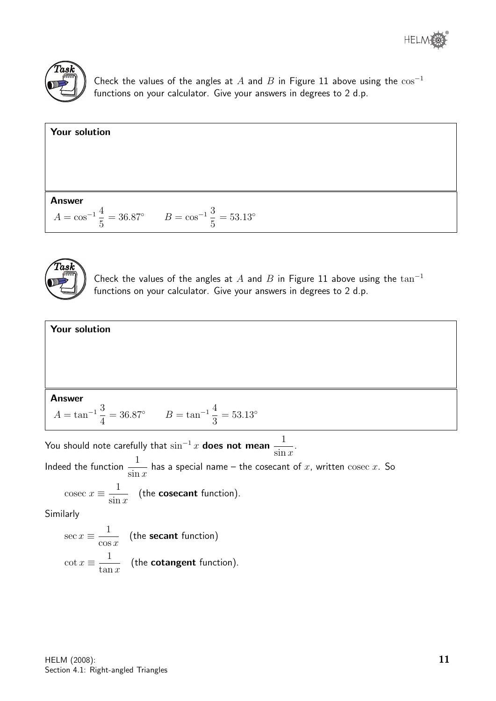



Check the values of the angles at A and B in Figure 11 above using the  $\cos^{-1}$ functions on your calculator. Give your answers in degrees to 2 d.p.





Check the values of the angles at A and B in Figure 11 above using the  $\tan^{-1}$ functions on your calculator. Give your answers in degrees to 2 d.p.



You should note carefully that  $\sin^{-1}x$  does not mean  $\frac{1}{1-x}$  $\sin x$ . Indeed the function  $\frac{1}{1}$  $\sin x$ has a special name – the cosecant of  $x$ , written  $\operatorname{cosec} x$ . So cosec  $x \equiv \frac{1}{x}$  $\sin x$ (the cosecant function). Similarly

$$
\sec x \equiv \frac{1}{\cos x} \quad \text{(the secant function)}
$$
\n
$$
\cot x \equiv \frac{1}{\tan x} \quad \text{(the cotangent function)}.
$$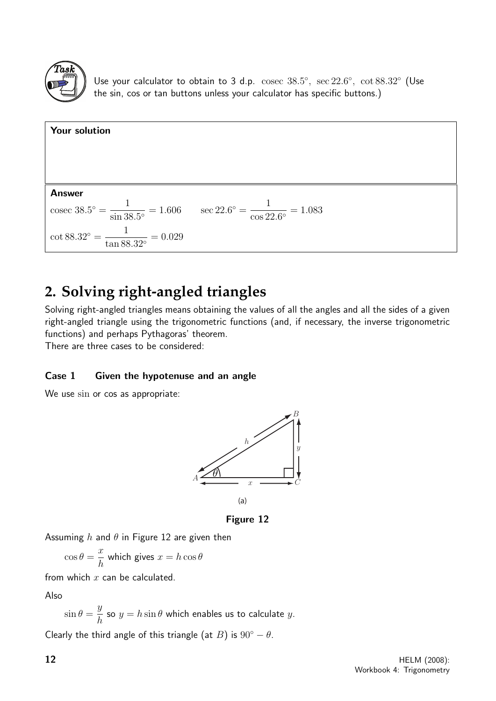

Use your calculator to obtain to 3 d.p.  $\csc 38.5^\circ$ ,  $\sec 22.6^\circ$ ,  $\cot 88.32^\circ$  (Use the sin, cos or tan buttons unless your calculator has specific buttons.)



### **2. Solving right-angled triangles**

Solving right-angled triangles means obtaining the values of all the angles and all the sides of a given right-angled triangle using the trigonometric functions (and, if necessary, the inverse trigonometric functions) and perhaps Pythagoras' theorem.

There are three cases to be considered:

#### Case 1 Given the hypotenuse and an angle

We use sin or cos as appropriate:



Figure 12

Assuming h and  $\theta$  in Figure 12 are given then

$$
\cos \theta = \frac{x}{h}
$$
 which gives  $x = h \cos \theta$ 

from which  $x$  can be calculated.

Also

$$
\sin \theta = \frac{y}{h}
$$
 so  $y = h \sin \theta$  which enables us to calculate y.

Clearly the third angle of this triangle (at B) is  $90^\circ - \theta$ .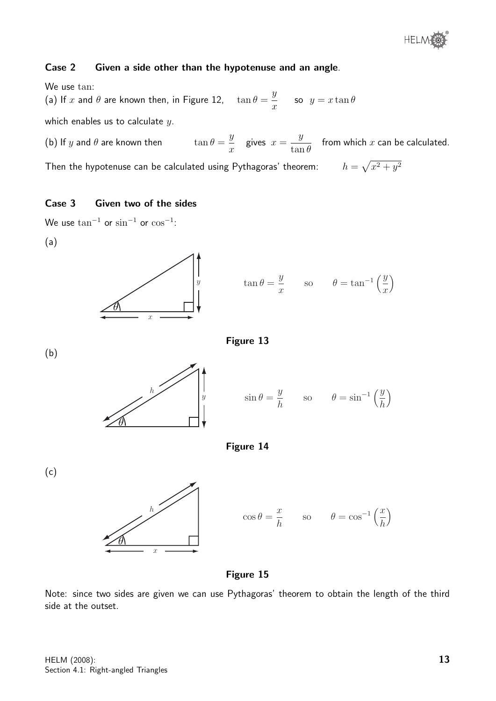

#### Case 2 Given a side other than the hypotenuse and an angle.

We use tan: (a) If  $x$  and  $\theta$  are known then, in Figure 12,  $\tan \theta =$  $\hat{y}$  $\boldsymbol{x}$ so  $y = x \tan \theta$ which enables us to calculate  $y$ .

(b) If  $y$  and  $\theta$  are known then  $\hat{y}$  $\boldsymbol{x}$ gives  $x =$  $\hat{y}$  $\tan\theta$ from which  $x$  can be calculated.

Then the hypotenuse can be calculated using Pythagoras' theorem:  $h=\sqrt{x^2+y^2}$ 

#### Case 3 Given two of the sides

We use  $\tan^{-1}$  or  $\sin^{-1}$  or  $\cos^{-1}$ :









$$
\sin \theta = \frac{y}{h}
$$
 so  $\theta = \sin^{-1} \left(\frac{y}{h}\right)$ 



(c)





Figure 15

Note: since two sides are given we can use Pythagoras' theorem to obtain the length of the third side at the outset.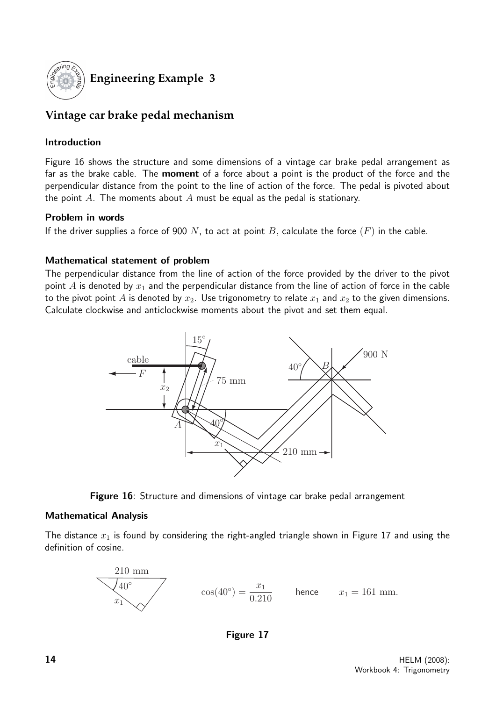

#### **Engineering Example 3**

#### **Vintage car brake pedal mechanism**

#### Introduction

Figure 16 shows the structure and some dimensions of a vintage car brake pedal arrangement as far as the brake cable. The **moment** of a force about a point is the product of the force and the perpendicular distance from the point to the line of action of the force. The pedal is pivoted about the point A. The moments about A must be equal as the pedal is stationary.

#### Problem in words

If the driver supplies a force of 900 N, to act at point B, calculate the force  $(F)$  in the cable.

#### Mathematical statement of problem

The perpendicular distance from the line of action of the force provided by the driver to the pivot point A is denoted by  $x_1$  and the perpendicular distance from the line of action of force in the cable to the pivot point A is denoted by  $x_2$ . Use trigonometry to relate  $x_1$  and  $x_2$  to the given dimensions. Calculate clockwise and anticlockwise moments about the pivot and set them equal.



Figure 16: Structure and dimensions of vintage car brake pedal arrangement

#### Mathematical Analysis

The distance  $x_1$  is found by considering the right-angled triangle shown in Figure 17 and using the definition of cosine.



Figure 17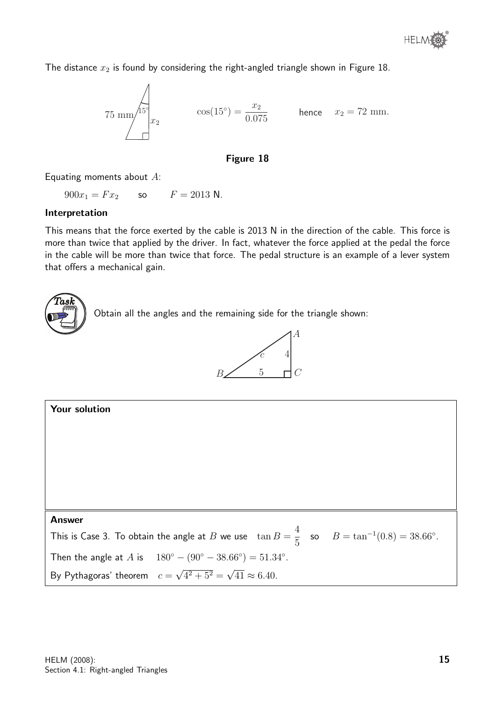The distance  $x_2$  is found by considering the right-angled triangle shown in Figure 18.

75 mm
$$
\pi
$$
 $\frac{15^{\circ}}{x_2}$   $\cos(15^{\circ}) = \frac{x_2}{0.075}$  hence  $x_2 = 72$  mm.

#### Figure 18

Equating moments about A:

 $900x_1 = Fx_2$  so  $F = 2013$  N.

#### Interpretation

This means that the force exerted by the cable is 2013 N in the direction of the cable. This force is more than twice that applied by the driver. In fact, whatever the force applied at the pedal the force in the cable will be more than twice that force. The pedal structure is an example of a lever system that offers a mechanical gain.



Obtain all the angles and the remaining side for the triangle shown:



| Your solution                                                                                                    |  |  |  |  |
|------------------------------------------------------------------------------------------------------------------|--|--|--|--|
|                                                                                                                  |  |  |  |  |
|                                                                                                                  |  |  |  |  |
|                                                                                                                  |  |  |  |  |
|                                                                                                                  |  |  |  |  |
|                                                                                                                  |  |  |  |  |
| <b>Answer</b>                                                                                                    |  |  |  |  |
| This is Case 3. To obtain the angle at B we use $\tan B = \frac{4}{5}$ so $B = \tan^{-1}(0.8) = 38.66^{\circ}$ . |  |  |  |  |
| Then the angle at A is $180^{\circ} - (90^{\circ} - 38.66^{\circ}) = 51.34^{\circ}$ .                            |  |  |  |  |
| By Pythagoras' theorem $c = \sqrt{4^2 + 5^2} = \sqrt{41} \approx 6.40$ .                                         |  |  |  |  |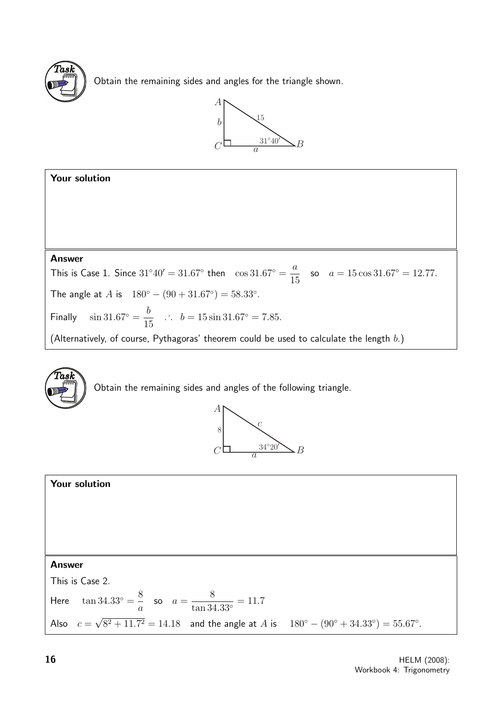

Obtain the remaining sides and angles for the triangle shown.







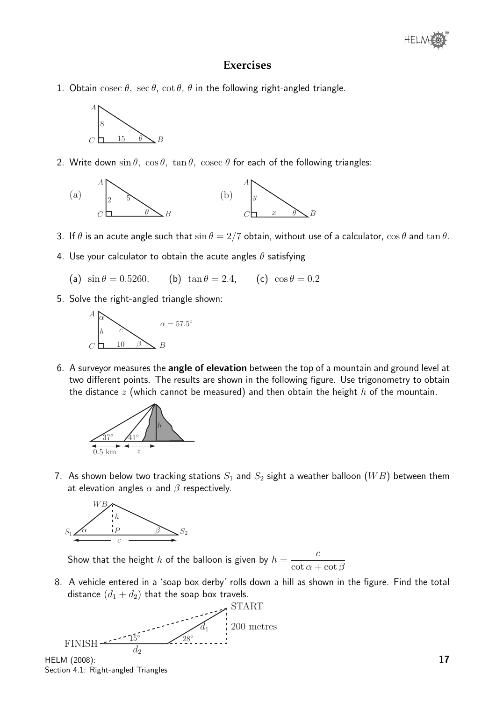#### **Exercises**

1. Obtain cosec  $\theta$ , sec  $\theta$ , cot  $\theta$ ,  $\theta$  in the following right-angled triangle.



2. Write down  $\sin \theta$ ,  $\cos \theta$ ,  $\tan \theta$ ,  $\csc \theta$  for each of the following triangles:



- 3. If  $\theta$  is an acute angle such that  $\sin \theta = 2/7$  obtain, without use of a calculator,  $\cos \theta$  and  $\tan \theta$ .
- 4. Use your calculator to obtain the acute angles  $\theta$  satisfying
	- (a)  $\sin \theta = 0.5260$ , (b)  $\tan \theta = 2.4$ , (c)  $\cos \theta = 0.2$
- 5. Solve the right-angled triangle shown:



6. A surveyor measures the angle of elevation between the top of a mountain and ground level at two different points. The results are shown in the following figure. Use trigonometry to obtain the distance z (which cannot be measured) and then obtain the height  $h$  of the mountain.



7. As shown below two tracking stations  $S_1$  and  $S_2$  sight a weather balloon  $(WB)$  between them at elevation angles  $\alpha$  and  $\beta$  respectively.



Show that the height  $h$  of the balloon is given by  $h =$ c  $\cot \alpha + \cot \beta$ 

8. A vehicle entered in a 'soap box derby' rolls down a hill as shown in the figure. Find the total distance  $(d_1 + d_2)$  that the soap box travels.